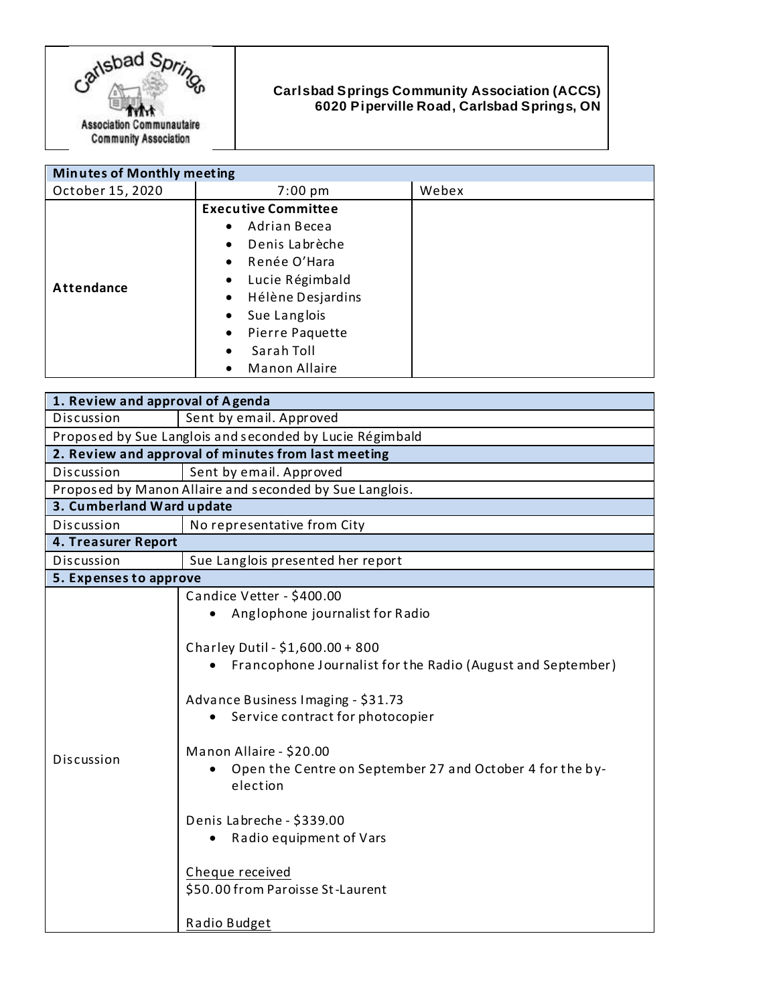

## **Carlsbad Springs Community Association (ACCS) 6020 Piperville Road, Carlsbad Springs, ON**

| <b>Minutes of Monthly meeting</b> |                                |       |
|-----------------------------------|--------------------------------|-------|
| October 15, 2020                  | $7:00 \text{ pm}$              | Webex |
|                                   | <b>Executive Committee</b>     |       |
| Attendance                        | Adrian Becea<br>$\bullet$      |       |
|                                   | Denis Labrèche<br>$\bullet$    |       |
|                                   | Renée O'Hara<br>$\bullet$      |       |
|                                   | Lucie Régimbald<br>٠           |       |
|                                   | Hélène Desjardins<br>$\bullet$ |       |
|                                   | Sue Langlois<br>٠              |       |
|                                   | Pierre Paquette<br>٠           |       |
|                                   | Sarah Toll<br>$\bullet$        |       |
|                                   | Manon Allaire<br>$\bullet$     |       |

| 1. Review and approval of Agenda                         |                                                                                                                                                                                                                                                                                                                                                                                                                                                              |  |
|----------------------------------------------------------|--------------------------------------------------------------------------------------------------------------------------------------------------------------------------------------------------------------------------------------------------------------------------------------------------------------------------------------------------------------------------------------------------------------------------------------------------------------|--|
| Discussion                                               | Sent by email. Approved                                                                                                                                                                                                                                                                                                                                                                                                                                      |  |
| Proposed by Sue Langlois and seconded by Lucie Régimbald |                                                                                                                                                                                                                                                                                                                                                                                                                                                              |  |
| 2. Review and approval of minutes from last meeting      |                                                                                                                                                                                                                                                                                                                                                                                                                                                              |  |
| Discussion                                               | Sent by email. Approved                                                                                                                                                                                                                                                                                                                                                                                                                                      |  |
| Proposed by Manon Allaire and seconded by Sue Langlois.  |                                                                                                                                                                                                                                                                                                                                                                                                                                                              |  |
| 3. Cumberland Ward update                                |                                                                                                                                                                                                                                                                                                                                                                                                                                                              |  |
| Discussion                                               | No representative from City                                                                                                                                                                                                                                                                                                                                                                                                                                  |  |
| 4. Treasurer Report                                      |                                                                                                                                                                                                                                                                                                                                                                                                                                                              |  |
| Discussion                                               | Sue Langlois presented her report                                                                                                                                                                                                                                                                                                                                                                                                                            |  |
| 5. Expenses to approve                                   |                                                                                                                                                                                                                                                                                                                                                                                                                                                              |  |
| Discussion                                               | Candice Vetter - \$400.00<br>Anglophone journalist for Radio<br>Charley Dutil - \$1,600.00 + 800<br>Francophone Journalist for the Radio (August and September)<br>Advance Business Imaging - \$31.73<br>Service contract for photocopier<br>Manon Allaire - \$20.00<br>Open the Centre on September 27 and October 4 for the by-<br>election<br>Denis Labreche - \$339.00<br>Radio equipment of Vars<br>Cheque received<br>\$50.00 from Paroisse St-Laurent |  |
|                                                          | Radio Budget                                                                                                                                                                                                                                                                                                                                                                                                                                                 |  |